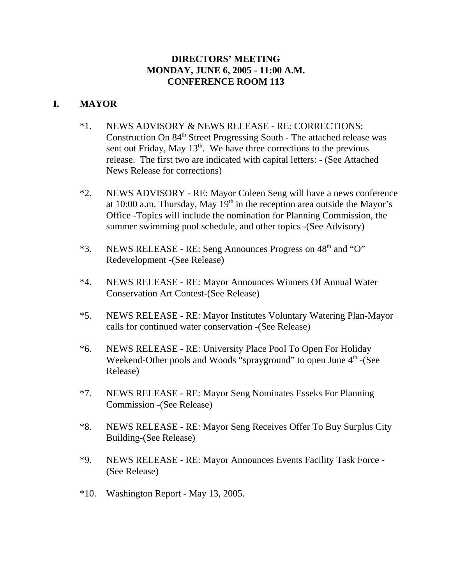## **DIRECTORS' MEETING MONDAY, JUNE 6, 2005 - 11:00 A.M. CONFERENCE ROOM 113**

## **I. MAYOR**

- \*1. NEWS ADVISORY & NEWS RELEASE RE: CORRECTIONS: Construction On 84<sup>th</sup> Street Progressing South - The attached release was sent out Friday, May  $13<sup>th</sup>$ . We have three corrections to the previous release. The first two are indicated with capital letters: - (See Attached News Release for corrections)
- \*2. NEWS ADVISORY RE: Mayor Coleen Seng will have a news conference at 10:00 a.m. Thursday, May  $19<sup>th</sup>$  in the reception area outside the Mayor's Office -Topics will include the nomination for Planning Commission, the summer swimming pool schedule, and other topics -(See Advisory)
- $*3.$  NEWS RELEASE RE: Seng Announces Progress on  $48<sup>th</sup>$  and "O" Redevelopment -(See Release)
- \*4. NEWS RELEASE RE: Mayor Announces Winners Of Annual Water Conservation Art Contest-(See Release)
- \*5. NEWS RELEASE RE: Mayor Institutes Voluntary Watering Plan-Mayor calls for continued water conservation -(See Release)
- \*6. NEWS RELEASE RE: University Place Pool To Open For Holiday Weekend-Other pools and Woods "sprayground" to open June  $4<sup>th</sup>$  -(See Release)
- \*7. NEWS RELEASE RE: Mayor Seng Nominates Esseks For Planning Commission -(See Release)
- \*8. NEWS RELEASE RE: Mayor Seng Receives Offer To Buy Surplus City Building-(See Release)
- \*9. NEWS RELEASE RE: Mayor Announces Events Facility Task Force (See Release)
- \*10. Washington Report May 13, 2005.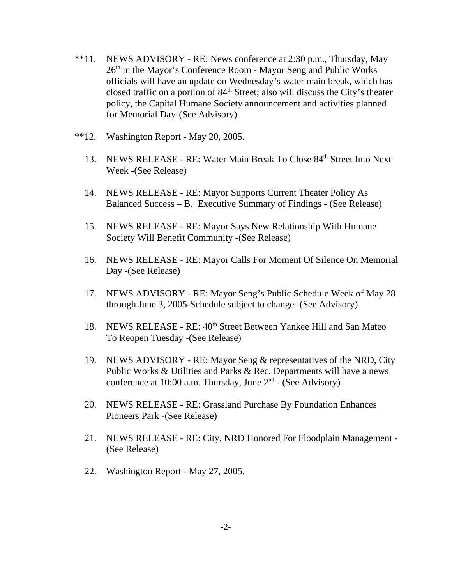- \*\*11. NEWS ADVISORY RE: News conference at 2:30 p.m., Thursday, May 26th in the Mayor's Conference Room - Mayor Seng and Public Works officials will have an update on Wednesday's water main break, which has closed traffic on a portion of  $84<sup>th</sup>$  Street; also will discuss the City's theater policy, the Capital Humane Society announcement and activities planned for Memorial Day-(See Advisory)
- \*\*12. Washington Report May 20, 2005.
	- 13. NEWS RELEASE RE: Water Main Break To Close 84<sup>th</sup> Street Into Next Week -(See Release)
	- 14. NEWS RELEASE RE: Mayor Supports Current Theater Policy As Balanced Success – B. Executive Summary of Findings - (See Release)
	- 15. NEWS RELEASE RE: Mayor Says New Relationship With Humane Society Will Benefit Community -(See Release)
	- 16. NEWS RELEASE RE: Mayor Calls For Moment Of Silence On Memorial Day -(See Release)
	- 17. NEWS ADVISORY RE: Mayor Seng's Public Schedule Week of May 28 through June 3, 2005-Schedule subject to change -(See Advisory)
	- 18. NEWS RELEASE RE: 40<sup>th</sup> Street Between Yankee Hill and San Mateo To Reopen Tuesday -(See Release)
	- 19. NEWS ADVISORY RE: Mayor Seng & representatives of the NRD, City Public Works & Utilities and Parks & Rec. Departments will have a news conference at 10:00 a.m. Thursday, June  $2<sup>nd</sup>$  - (See Advisory)
	- 20. NEWS RELEASE RE: Grassland Purchase By Foundation Enhances Pioneers Park -(See Release)
	- 21. NEWS RELEASE RE: City, NRD Honored For Floodplain Management (See Release)
	- 22. Washington Report May 27, 2005.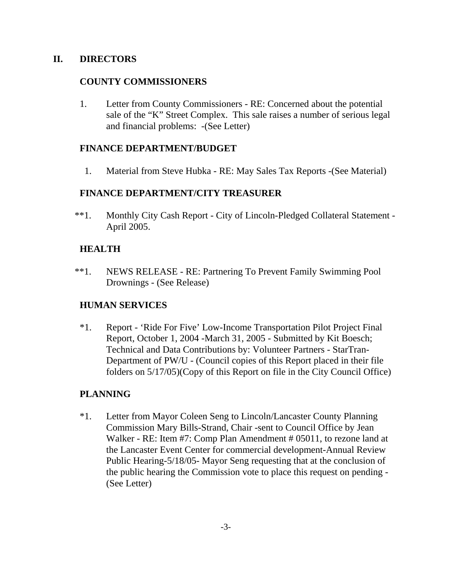### **II. DIRECTORS**

### **COUNTY COMMISSIONERS**

1. Letter from County Commissioners - RE: Concerned about the potential sale of the "K" Street Complex. This sale raises a number of serious legal and financial problems: -(See Letter)

### **FINANCE DEPARTMENT/BUDGET**

1. Material from Steve Hubka - RE: May Sales Tax Reports -(See Material)

## **FINANCE DEPARTMENT/CITY TREASURER**

 \*\*1. Monthly City Cash Report - City of Lincoln-Pledged Collateral Statement - April 2005.

## **HEALTH**

\*\*1. NEWS RELEASE - RE: Partnering To Prevent Family Swimming Pool Drownings - (See Release)

## **HUMAN SERVICES**

\*1. Report - 'Ride For Five' Low-Income Transportation Pilot Project Final Report, October 1, 2004 -March 31, 2005 - Submitted by Kit Boesch; Technical and Data Contributions by: Volunteer Partners - StarTran-Department of PW/U - (Council copies of this Report placed in their file folders on 5/17/05)(Copy of this Report on file in the City Council Office)

## **PLANNING**

\*1. Letter from Mayor Coleen Seng to Lincoln/Lancaster County Planning Commission Mary Bills-Strand, Chair -sent to Council Office by Jean Walker - RE: Item #7: Comp Plan Amendment # 05011, to rezone land at the Lancaster Event Center for commercial development-Annual Review Public Hearing-5/18/05- Mayor Seng requesting that at the conclusion of the public hearing the Commission vote to place this request on pending - (See Letter)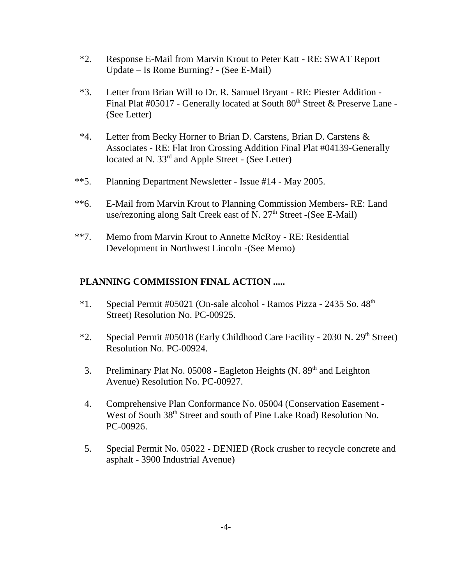- \*2. Response E-Mail from Marvin Krout to Peter Katt RE: SWAT Report Update – Is Rome Burning? - (See E-Mail)
- \*3. Letter from Brian Will to Dr. R. Samuel Bryant RE: Piester Addition Final Plat #05017 - Generally located at South  $80<sup>th</sup>$  Street & Preserve Lane -(See Letter)
- \*4. Letter from Becky Horner to Brian D. Carstens, Brian D. Carstens & Associates - RE: Flat Iron Crossing Addition Final Plat #04139-Generally located at N. 33<sup>rd</sup> and Apple Street - (See Letter)
- \*\*5. Planning Department Newsletter Issue #14 May 2005.
- \*\*6. E-Mail from Marvin Krout to Planning Commission Members- RE: Land use/rezoning along Salt Creek east of N.  $27<sup>th</sup>$  Street -(See E-Mail)
- \*\*7. Memo from Marvin Krout to Annette McRoy RE: Residential Development in Northwest Lincoln -(See Memo)

## **PLANNING COMMISSION FINAL ACTION .....**

- $*1.$  Special Permit #05021 (On-sale alcohol Ramos Pizza 2435 So.  $48<sup>th</sup>$ Street) Resolution No. PC-00925.
- \*2. Special Permit #05018 (Early Childhood Care Facility 2030 N.  $29<sup>th</sup>$  Street) Resolution No. PC-00924.
- 3. Preliminary Plat No. 05008 Eagleton Heights (N. 89<sup>th</sup> and Leighton Avenue) Resolution No. PC-00927.
- 4. Comprehensive Plan Conformance No. 05004 (Conservation Easement West of South 38<sup>th</sup> Street and south of Pine Lake Road) Resolution No. PC-00926.
- 5. Special Permit No. 05022 DENIED (Rock crusher to recycle concrete and asphalt - 3900 Industrial Avenue)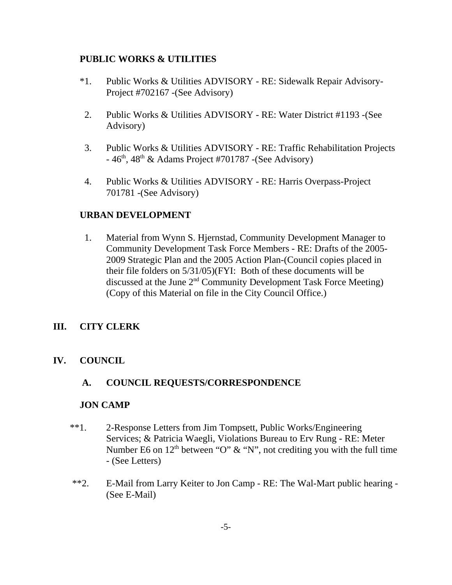### **PUBLIC WORKS & UTILITIES**

- \*1. Public Works & Utilities ADVISORY RE: Sidewalk Repair Advisory-Project #702167 -(See Advisory)
- 2. Public Works & Utilities ADVISORY RE: Water District #1193 -(See Advisory)
- 3. Public Works & Utilities ADVISORY RE: Traffic Rehabilitation Projects  $-46<sup>th</sup>$ ,  $48<sup>th</sup>$  & Adams Project #701787 -(See Advisory)
- 4. Public Works & Utilities ADVISORY RE: Harris Overpass-Project 701781 -(See Advisory)

## **URBAN DEVELOPMENT**

1. Material from Wynn S. Hjernstad, Community Development Manager to Community Development Task Force Members - RE: Drafts of the 2005- 2009 Strategic Plan and the 2005 Action Plan-(Council copies placed in their file folders on 5/31/05)(FYI: Both of these documents will be discussed at the June 2nd Community Development Task Force Meeting) (Copy of this Material on file in the City Council Office.)

## **III. CITY CLERK**

## **IV. COUNCIL**

## **A. COUNCIL REQUESTS/CORRESPONDENCE**

### **JON CAMP**

- \*\*1. 2-Response Letters from Jim Tompsett, Public Works/Engineering Services; & Patricia Waegli, Violations Bureau to Erv Rung - RE: Meter Number E6 on  $12<sup>th</sup>$  between "O" & "N", not crediting you with the full time - (See Letters)
- \*\*2. E-Mail from Larry Keiter to Jon Camp RE: The Wal-Mart public hearing (See E-Mail)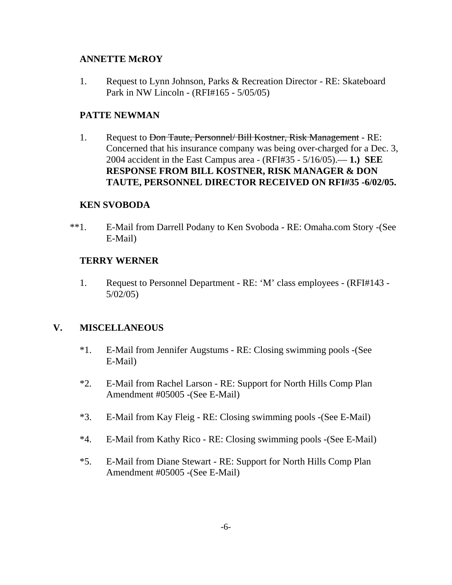## **ANNETTE McROY**

1. Request to Lynn Johnson, Parks & Recreation Director - RE: Skateboard Park in NW Lincoln - (RFI#165 - 5/05/05)

## **PATTE NEWMAN**

1. Request to <del>Don Taute, Personnel/ Bill Kostner, Risk Management</del> - RE: Concerned that his insurance company was being over-charged for a Dec. 3, 2004 accident in the East Campus area - (RFI#35 - 5/16/05).— **1.) SEE RESPONSE FROM BILL KOSTNER, RISK MANAGER & DON TAUTE, PERSONNEL DIRECTOR RECEIVED ON RFI#35 -6/02/05.** 

## **KEN SVOBODA**

\*\*1. E-Mail from Darrell Podany to Ken Svoboda - RE: Omaha.com Story -(See E-Mail)

## **TERRY WERNER**

1. Request to Personnel Department - RE: 'M' class employees - (RFI#143 - 5/02/05)

## **V. MISCELLANEOUS**

- \*1. E-Mail from Jennifer Augstums RE: Closing swimming pools -(See E-Mail)
- \*2. E-Mail from Rachel Larson RE: Support for North Hills Comp Plan Amendment #05005 -(See E-Mail)
- \*3. E-Mail from Kay Fleig RE: Closing swimming pools -(See E-Mail)
- \*4. E-Mail from Kathy Rico RE: Closing swimming pools -(See E-Mail)
- \*5. E-Mail from Diane Stewart RE: Support for North Hills Comp Plan Amendment #05005 -(See E-Mail)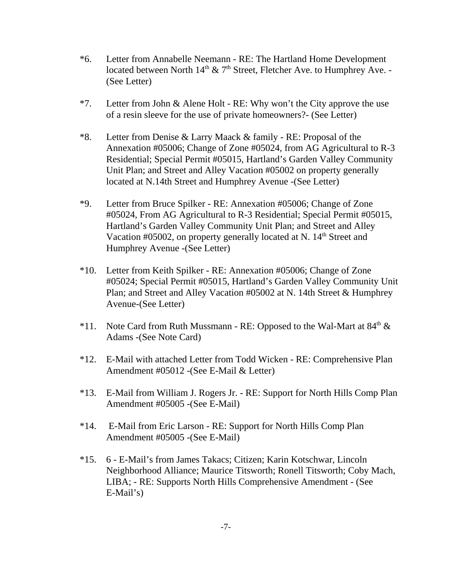- \*6. Letter from Annabelle Neemann RE: The Hartland Home Development located between North  $14<sup>th</sup>$  & 7<sup>th</sup> Street, Fletcher Ave. to Humphrey Ave. -(See Letter)
- \*7. Letter from John & Alene Holt RE: Why won't the City approve the use of a resin sleeve for the use of private homeowners?- (See Letter)
- \*8. Letter from Denise & Larry Maack & family RE: Proposal of the Annexation #05006; Change of Zone #05024, from AG Agricultural to R-3 Residential; Special Permit #05015, Hartland's Garden Valley Community Unit Plan; and Street and Alley Vacation #05002 on property generally located at N.14th Street and Humphrey Avenue -(See Letter)
- \*9. Letter from Bruce Spilker RE: Annexation #05006; Change of Zone #05024, From AG Agricultural to R-3 Residential; Special Permit #05015, Hartland's Garden Valley Community Unit Plan; and Street and Alley Vacation #05002, on property generally located at N.  $14<sup>th</sup>$  Street and Humphrey Avenue -(See Letter)
- \*10. Letter from Keith Spilker RE: Annexation #05006; Change of Zone #05024; Special Permit #05015, Hartland's Garden Valley Community Unit Plan; and Street and Alley Vacation #05002 at N. 14th Street & Humphrey Avenue-(See Letter)
- \*11. Note Card from Ruth Mussmann RE: Opposed to the Wal-Mart at  $84<sup>th</sup> \&$ Adams -(See Note Card)
- \*12. E-Mail with attached Letter from Todd Wicken RE: Comprehensive Plan Amendment #05012 -(See E-Mail & Letter)
- \*13. E-Mail from William J. Rogers Jr. RE: Support for North Hills Comp Plan Amendment #05005 -(See E-Mail)
- \*14. E-Mail from Eric Larson RE: Support for North Hills Comp Plan Amendment #05005 -(See E-Mail)
- \*15. 6 E-Mail's from James Takacs; Citizen; Karin Kotschwar, Lincoln Neighborhood Alliance; Maurice Titsworth; Ronell Titsworth; Coby Mach, LIBA; - RE: Supports North Hills Comprehensive Amendment - (See E-Mail's)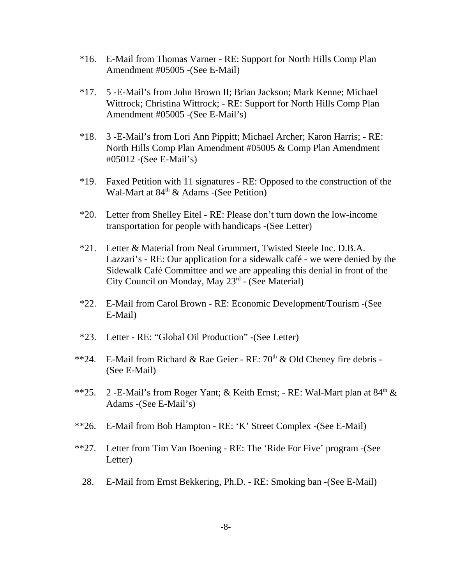- \*16. E-Mail from Thomas Varner RE: Support for North Hills Comp Plan Amendment #05005 -(See E-Mail)
- \*17. 5 -E-Mail's from John Brown II; Brian Jackson; Mark Kenne; Michael Wittrock; Christina Wittrock; - RE: Support for North Hills Comp Plan Amendment #05005 -(See E-Mail's)
- \*18. 3 -E-Mail's from Lori Ann Pippitt; Michael Archer; Karon Harris; RE: North Hills Comp Plan Amendment #05005 & Comp Plan Amendment #05012 -(See E-Mail's)
- \*19. Faxed Petition with 11 signatures RE: Opposed to the construction of the Wal-Mart at  $84<sup>th</sup>$  & Adams -(See Petition)
- \*20. Letter from Shelley Eitel RE: Please don't turn down the low-income transportation for people with handicaps -(See Letter)
- \*21. Letter & Material from Neal Grummert, Twisted Steele Inc. D.B.A. Lazzari's - RE: Our application for a sidewalk café - we were denied by the Sidewalk Café Committee and we are appealing this denial in front of the City Council on Monday, May 23rd - (See Material)
- \*22. E-Mail from Carol Brown RE: Economic Development/Tourism -(See E-Mail)
- \*23. Letter RE: "Global Oil Production" -(See Letter)
- \*\*24. E-Mail from Richard & Rae Geier RE:  $70<sup>th</sup>$  & Old Cheney fire debris -(See E-Mail)
- \*\*25. 2 -E-Mail's from Roger Yant; & Keith Ernst; RE: Wal-Mart plan at  $84<sup>th</sup>$  & Adams -(See E-Mail's)
- \*\*26. E-Mail from Bob Hampton RE: 'K' Street Complex -(See E-Mail)
- \*\*27. Letter from Tim Van Boening RE: The 'Ride For Five' program -(See Letter)
	- 28. E-Mail from Ernst Bekkering, Ph.D. RE: Smoking ban -(See E-Mail)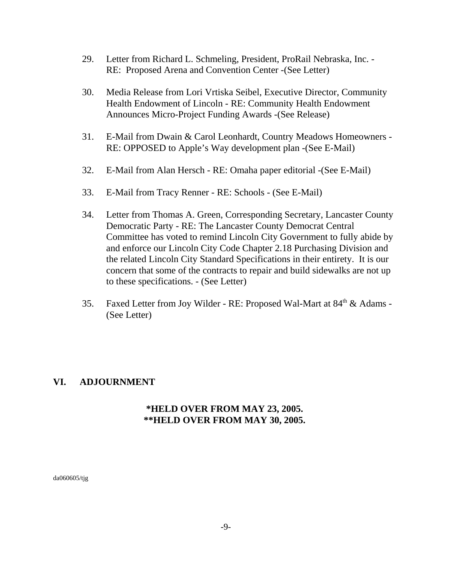- 29. Letter from Richard L. Schmeling, President, ProRail Nebraska, Inc. RE: Proposed Arena and Convention Center -(See Letter)
- 30. Media Release from Lori Vrtiska Seibel, Executive Director, Community Health Endowment of Lincoln - RE: Community Health Endowment Announces Micro-Project Funding Awards -(See Release)
- 31. E-Mail from Dwain & Carol Leonhardt, Country Meadows Homeowners RE: OPPOSED to Apple's Way development plan -(See E-Mail)
- 32. E-Mail from Alan Hersch RE: Omaha paper editorial -(See E-Mail)
- 33. E-Mail from Tracy Renner RE: Schools (See E-Mail)
- 34. Letter from Thomas A. Green, Corresponding Secretary, Lancaster County Democratic Party - RE: The Lancaster County Democrat Central Committee has voted to remind Lincoln City Government to fully abide by and enforce our Lincoln City Code Chapter 2.18 Purchasing Division and the related Lincoln City Standard Specifications in their entirety. It is our concern that some of the contracts to repair and build sidewalks are not up to these specifications. - (See Letter)
- 35. Faxed Letter from Joy Wilder RE: Proposed Wal-Mart at 84<sup>th</sup> & Adams -(See Letter)

## **VI. ADJOURNMENT**

## **\*HELD OVER FROM MAY 23, 2005. \*\*HELD OVER FROM MAY 30, 2005.**

da060605/tjg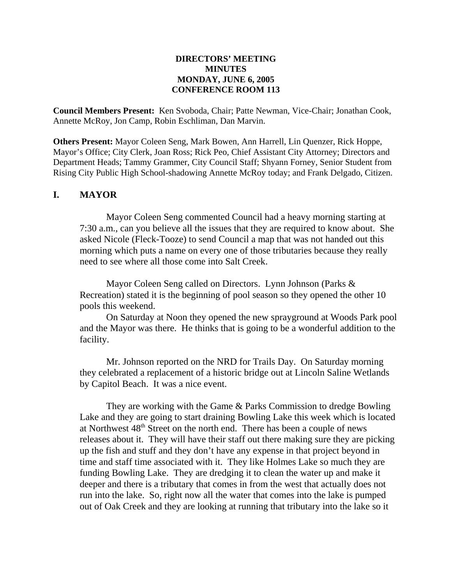#### **DIRECTORS' MEETING MINUTES MONDAY, JUNE 6, 2005 CONFERENCE ROOM 113**

**Council Members Present:** Ken Svoboda, Chair; Patte Newman, Vice-Chair; Jonathan Cook, Annette McRoy, Jon Camp, Robin Eschliman, Dan Marvin.

**Others Present:** Mayor Coleen Seng, Mark Bowen, Ann Harrell, Lin Quenzer, Rick Hoppe, Mayor's Office; City Clerk, Joan Ross; Rick Peo, Chief Assistant City Attorney; Directors and Department Heads; Tammy Grammer, City Council Staff; Shyann Forney, Senior Student from Rising City Public High School-shadowing Annette McRoy today; and Frank Delgado, Citizen.

### **I. MAYOR**

Mayor Coleen Seng commented Council had a heavy morning starting at 7:30 a.m., can you believe all the issues that they are required to know about. She asked Nicole (Fleck-Tooze) to send Council a map that was not handed out this morning which puts a name on every one of those tributaries because they really need to see where all those come into Salt Creek.

Mayor Coleen Seng called on Directors. Lynn Johnson (Parks & Recreation) stated it is the beginning of pool season so they opened the other 10 pools this weekend.

On Saturday at Noon they opened the new sprayground at Woods Park pool and the Mayor was there. He thinks that is going to be a wonderful addition to the facility.

Mr. Johnson reported on the NRD for Trails Day. On Saturday morning they celebrated a replacement of a historic bridge out at Lincoln Saline Wetlands by Capitol Beach. It was a nice event.

They are working with the Game & Parks Commission to dredge Bowling Lake and they are going to start draining Bowling Lake this week which is located at Northwest 48<sup>th</sup> Street on the north end. There has been a couple of news releases about it. They will have their staff out there making sure they are picking up the fish and stuff and they don't have any expense in that project beyond in time and staff time associated with it. They like Holmes Lake so much they are funding Bowling Lake. They are dredging it to clean the water up and make it deeper and there is a tributary that comes in from the west that actually does not run into the lake. So, right now all the water that comes into the lake is pumped out of Oak Creek and they are looking at running that tributary into the lake so it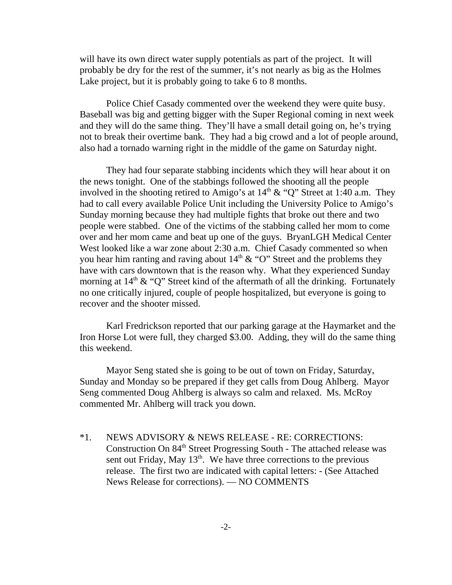will have its own direct water supply potentials as part of the project. It will probably be dry for the rest of the summer, it's not nearly as big as the Holmes Lake project, but it is probably going to take 6 to 8 months.

Police Chief Casady commented over the weekend they were quite busy. Baseball was big and getting bigger with the Super Regional coming in next week and they will do the same thing. They'll have a small detail going on, he's trying not to break their overtime bank. They had a big crowd and a lot of people around, also had a tornado warning right in the middle of the game on Saturday night.

They had four separate stabbing incidents which they will hear about it on the news tonight. One of the stabbings followed the shooting all the people involved in the shooting retired to Amigo's at  $14<sup>th</sup> \& ^\circ$  "O" Street at 1:40 a.m. They had to call every available Police Unit including the University Police to Amigo's Sunday morning because they had multiple fights that broke out there and two people were stabbed. One of the victims of the stabbing called her mom to come over and her mom came and beat up one of the guys. BryanLGH Medical Center West looked like a war zone about 2:30 a.m. Chief Casady commented so when you hear him ranting and raving about  $14<sup>th</sup> \& ^\circ$  "O" Street and the problems they have with cars downtown that is the reason why. What they experienced Sunday morning at  $14<sup>th</sup> \& ^{\circ}$  (O" Street kind of the aftermath of all the drinking. Fortunately no one critically injured, couple of people hospitalized, but everyone is going to recover and the shooter missed.

Karl Fredrickson reported that our parking garage at the Haymarket and the Iron Horse Lot were full, they charged \$3.00. Adding, they will do the same thing this weekend.

Mayor Seng stated she is going to be out of town on Friday, Saturday, Sunday and Monday so be prepared if they get calls from Doug Ahlberg. Mayor Seng commented Doug Ahlberg is always so calm and relaxed. Ms. McRoy commented Mr. Ahlberg will track you down.

\*1. NEWS ADVISORY & NEWS RELEASE - RE: CORRECTIONS: Construction On 84<sup>th</sup> Street Progressing South - The attached release was sent out Friday, May  $13<sup>th</sup>$ . We have three corrections to the previous release. The first two are indicated with capital letters: - (See Attached News Release for corrections). — NO COMMENTS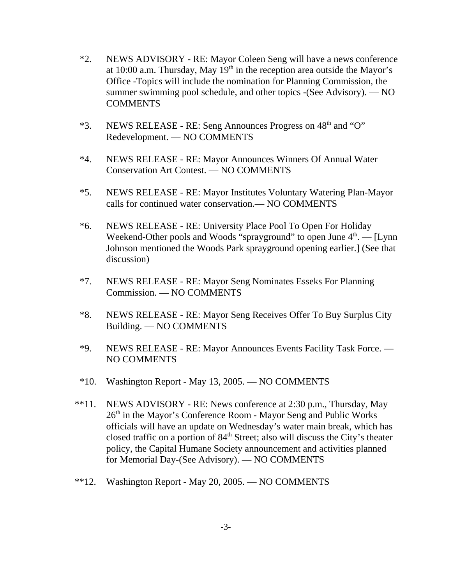- \*2. NEWS ADVISORY RE: Mayor Coleen Seng will have a news conference at 10:00 a.m. Thursday, May  $19<sup>th</sup>$  in the reception area outside the Mayor's Office -Topics will include the nomination for Planning Commission, the summer swimming pool schedule, and other topics -(See Advisory). — NO COMMENTS
- \*3. NEWS RELEASE RE: Seng Announces Progress on 48<sup>th</sup> and "O" Redevelopment. — NO COMMENTS
- \*4. NEWS RELEASE RE: Mayor Announces Winners Of Annual Water Conservation Art Contest. — NO COMMENTS
- \*5. NEWS RELEASE RE: Mayor Institutes Voluntary Watering Plan-Mayor calls for continued water conservation.— NO COMMENTS
- \*6. NEWS RELEASE RE: University Place Pool To Open For Holiday Weekend-Other pools and Woods "sprayground" to open June  $4<sup>th</sup>$ .  $\qquad$  [Lynn] Johnson mentioned the Woods Park sprayground opening earlier.] (See that discussion)
- \*7. NEWS RELEASE RE: Mayor Seng Nominates Esseks For Planning Commission. — NO COMMENTS
- \*8. NEWS RELEASE RE: Mayor Seng Receives Offer To Buy Surplus City Building. — NO COMMENTS
- \*9. NEWS RELEASE RE: Mayor Announces Events Facility Task Force. NO COMMENTS
- \*10. Washington Report May 13, 2005. NO COMMENTS
- \*\*11. NEWS ADVISORY RE: News conference at 2:30 p.m., Thursday, May 26<sup>th</sup> in the Mayor's Conference Room - Mayor Seng and Public Works officials will have an update on Wednesday's water main break, which has closed traffic on a portion of  $84<sup>th</sup>$  Street; also will discuss the City's theater policy, the Capital Humane Society announcement and activities planned for Memorial Day-(See Advisory). — NO COMMENTS
- \*\*12. Washington Report May 20, 2005. NO COMMENTS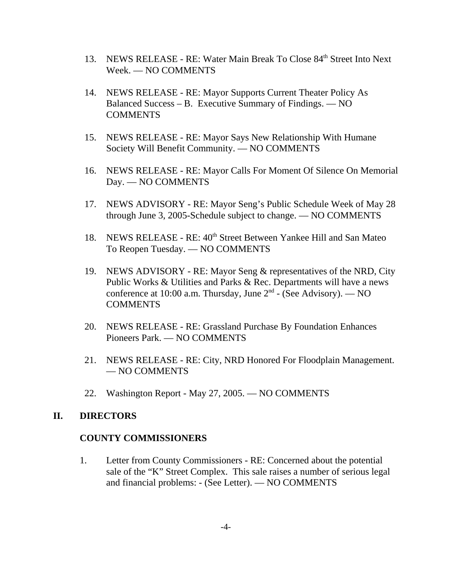- 13. NEWS RELEASE RE: Water Main Break To Close 84<sup>th</sup> Street Into Next Week. — NO COMMENTS
- 14. NEWS RELEASE RE: Mayor Supports Current Theater Policy As Balanced Success – B. Executive Summary of Findings. — NO COMMENTS
- 15. NEWS RELEASE RE: Mayor Says New Relationship With Humane Society Will Benefit Community. — NO COMMENTS
- 16. NEWS RELEASE RE: Mayor Calls For Moment Of Silence On Memorial Day. — NO COMMENTS
- 17. NEWS ADVISORY RE: Mayor Seng's Public Schedule Week of May 28 through June 3, 2005-Schedule subject to change. — NO COMMENTS
- 18. NEWS RELEASE RE: 40<sup>th</sup> Street Between Yankee Hill and San Mateo To Reopen Tuesday. — NO COMMENTS
- 19. NEWS ADVISORY RE: Mayor Seng & representatives of the NRD, City Public Works & Utilities and Parks & Rec. Departments will have a news conference at 10:00 a.m. Thursday, June  $2<sup>nd</sup>$  - (See Advisory). — NO **COMMENTS**
- 20. NEWS RELEASE RE: Grassland Purchase By Foundation Enhances Pioneers Park. — NO COMMENTS
- 21. NEWS RELEASE RE: City, NRD Honored For Floodplain Management. — NO COMMENTS
- 22. Washington Report May 27, 2005. NO COMMENTS

### **II. DIRECTORS**

### **COUNTY COMMISSIONERS**

1. Letter from County Commissioners - RE: Concerned about the potential sale of the "K" Street Complex. This sale raises a number of serious legal and financial problems: - (See Letter). — NO COMMENTS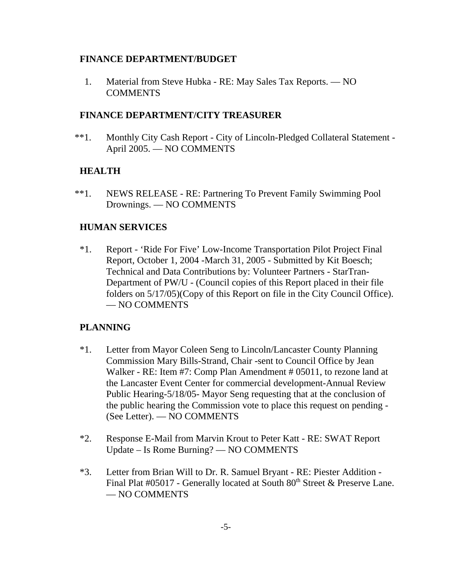### **FINANCE DEPARTMENT/BUDGET**

1. Material from Steve Hubka - RE: May Sales Tax Reports. — NO COMMENTS

### **FINANCE DEPARTMENT/CITY TREASURER**

 \*\*1. Monthly City Cash Report - City of Lincoln-Pledged Collateral Statement - April 2005. — NO COMMENTS

## **HEALTH**

\*\*1. NEWS RELEASE - RE: Partnering To Prevent Family Swimming Pool Drownings. — NO COMMENTS

## **HUMAN SERVICES**

\*1. Report - 'Ride For Five' Low-Income Transportation Pilot Project Final Report, October 1, 2004 -March 31, 2005 - Submitted by Kit Boesch; Technical and Data Contributions by: Volunteer Partners - StarTran-Department of PW/U - (Council copies of this Report placed in their file folders on 5/17/05)(Copy of this Report on file in the City Council Office). — NO COMMENTS

## **PLANNING**

- \*1. Letter from Mayor Coleen Seng to Lincoln/Lancaster County Planning Commission Mary Bills-Strand, Chair -sent to Council Office by Jean Walker - RE: Item #7: Comp Plan Amendment # 05011, to rezone land at the Lancaster Event Center for commercial development-Annual Review Public Hearing-5/18/05- Mayor Seng requesting that at the conclusion of the public hearing the Commission vote to place this request on pending - (See Letter). — NO COMMENTS
- \*2. Response E-Mail from Marvin Krout to Peter Katt RE: SWAT Report Update – Is Rome Burning? — NO COMMENTS
- \*3. Letter from Brian Will to Dr. R. Samuel Bryant RE: Piester Addition Final Plat  $\#05017$  - Generally located at South  $80<sup>th</sup>$  Street & Preserve Lane. — NO COMMENTS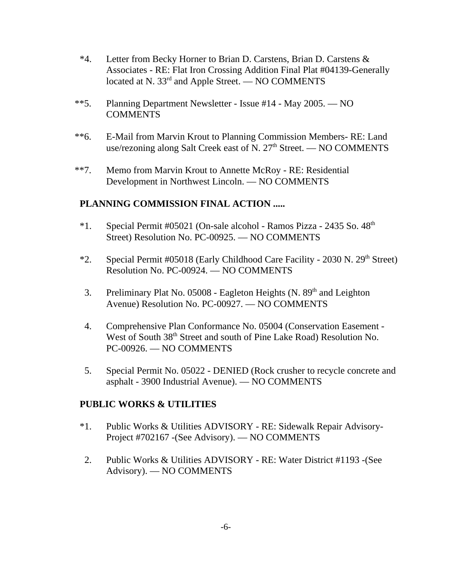- \*4. Letter from Becky Horner to Brian D. Carstens, Brian D. Carstens & Associates - RE: Flat Iron Crossing Addition Final Plat #04139-Generally located at N. 33<sup>rd</sup> and Apple Street. — NO COMMENTS
- \*\*5. Planning Department Newsletter Issue #14 May 2005. NO COMMENTS
- \*\*6. E-Mail from Marvin Krout to Planning Commission Members- RE: Land use/rezoning along Salt Creek east of N.  $27<sup>th</sup>$  Street. — NO COMMENTS
- \*\*7. Memo from Marvin Krout to Annette McRoy RE: Residential Development in Northwest Lincoln. — NO COMMENTS

## **PLANNING COMMISSION FINAL ACTION .....**

- \*1. Special Permit #05021 (On-sale alcohol Ramos Pizza 2435 So. 48<sup>th</sup> Street) Resolution No. PC-00925. — NO COMMENTS
- \*2. Special Permit #05018 (Early Childhood Care Facility 2030 N. 29<sup>th</sup> Street) Resolution No. PC-00924. — NO COMMENTS
- 3. Preliminary Plat No. 05008 Eagleton Heights  $(N. 89<sup>th</sup>$  and Leighton Avenue) Resolution No. PC-00927. — NO COMMENTS
- 4. Comprehensive Plan Conformance No. 05004 (Conservation Easement West of South 38<sup>th</sup> Street and south of Pine Lake Road) Resolution No. PC-00926. — NO COMMENTS
- 5. Special Permit No. 05022 DENIED (Rock crusher to recycle concrete and asphalt - 3900 Industrial Avenue). — NO COMMENTS

### **PUBLIC WORKS & UTILITIES**

- \*1. Public Works & Utilities ADVISORY RE: Sidewalk Repair Advisory-Project #702167 -(See Advisory). — NO COMMENTS
- 2. Public Works & Utilities ADVISORY RE: Water District #1193 -(See Advisory). — NO COMMENTS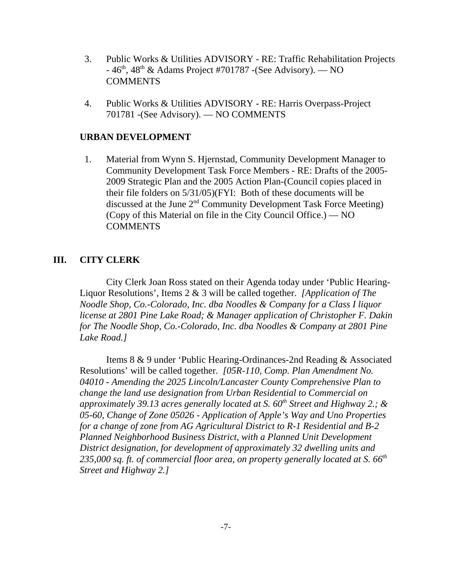- 3. Public Works & Utilities ADVISORY RE: Traffic Rehabilitation Projects  $-46<sup>th</sup>$ ,  $48<sup>th</sup>$  & Adams Project #701787 -(See Advisory). — NO **COMMENTS**
- 4. Public Works & Utilities ADVISORY RE: Harris Overpass-Project 701781 -(See Advisory). — NO COMMENTS

### **URBAN DEVELOPMENT**

1. Material from Wynn S. Hjernstad, Community Development Manager to Community Development Task Force Members - RE: Drafts of the 2005- 2009 Strategic Plan and the 2005 Action Plan-(Council copies placed in their file folders on 5/31/05)(FYI: Both of these documents will be discussed at the June 2nd Community Development Task Force Meeting) (Copy of this Material on file in the City Council Office.) — NO **COMMENTS** 

### **III. CITY CLERK**

City Clerk Joan Ross stated on their Agenda today under 'Public Hearing-Liquor Resolutions', Items 2 & 3 will be called together. *[Application of The Noodle Shop, Co.-Colorado, Inc. dba Noodles & Company for a Class I liquor license at 2801 Pine Lake Road; & Manager application of Christopher F. Dakin for The Noodle Shop, Co.-Colorado, Inc. dba Noodles & Company at 2801 Pine Lake Road.]* 

Items 8 & 9 under 'Public Hearing-Ordinances-2nd Reading & Associated Resolutions' will be called together. *[05R-110, Comp. Plan Amendment No. 04010 - Amending the 2025 Lincoln/Lancaster County Comprehensive Plan to change the land use designation from Urban Residential to Commercial on approximately 39.13 acres generally located at S. 60th Street and Highway 2.; & 05-60, Change of Zone 05026 - Application of Apple's Way and Uno Properties for a change of zone from AG Agricultural District to R-1 Residential and B-2 Planned Neighborhood Business District, with a Planned Unit Development District designation, for development of approximately 32 dwelling units and 235,000 sq. ft. of commercial floor area, on property generally located at S. 66th Street and Highway 2.]*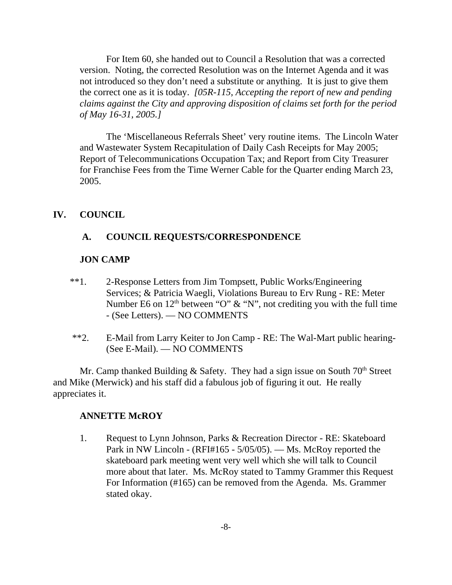For Item 60, she handed out to Council a Resolution that was a corrected version. Noting, the corrected Resolution was on the Internet Agenda and it was not introduced so they don't need a substitute or anything. It is just to give them the correct one as it is today. *[05R-115, Accepting the report of new and pending claims against the City and approving disposition of claims set forth for the period of May 16-31, 2005.]* 

The 'Miscellaneous Referrals Sheet' very routine items. The Lincoln Water and Wastewater System Recapitulation of Daily Cash Receipts for May 2005; Report of Telecommunications Occupation Tax; and Report from City Treasurer for Franchise Fees from the Time Werner Cable for the Quarter ending March 23, 2005.

#### **IV. COUNCIL**

### **A. COUNCIL REQUESTS/CORRESPONDENCE**

#### **JON CAMP**

- \*\*1. 2-Response Letters from Jim Tompsett, Public Works/Engineering Services; & Patricia Waegli, Violations Bureau to Erv Rung - RE: Meter Number E6 on  $12<sup>th</sup>$  between "O" & "N", not crediting you with the full time - (See Letters). — NO COMMENTS
- \*\*2. E-Mail from Larry Keiter to Jon Camp RE: The Wal-Mart public hearing- (See E-Mail). — NO COMMENTS

Mr. Camp thanked Building & Safety. They had a sign issue on South  $70<sup>th</sup>$  Street and Mike (Merwick) and his staff did a fabulous job of figuring it out. He really appreciates it.

#### **ANNETTE McROY**

1. Request to Lynn Johnson, Parks & Recreation Director - RE: Skateboard Park in NW Lincoln - (RFI#165 - 5/05/05). — Ms. McRoy reported the skateboard park meeting went very well which she will talk to Council more about that later. Ms. McRoy stated to Tammy Grammer this Request For Information (#165) can be removed from the Agenda. Ms. Grammer stated okay.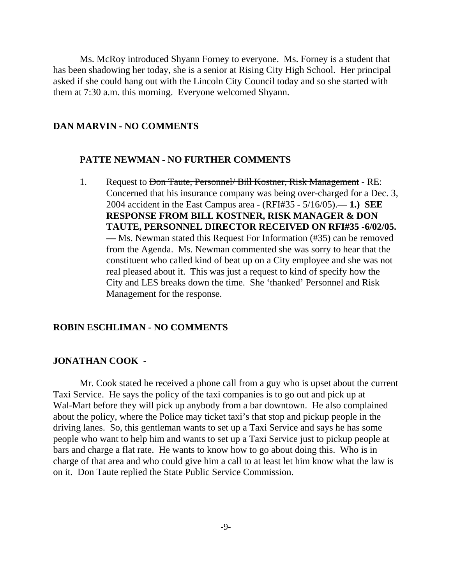Ms. McRoy introduced Shyann Forney to everyone. Ms. Forney is a student that has been shadowing her today, she is a senior at Rising City High School. Her principal asked if she could hang out with the Lincoln City Council today and so she started with them at 7:30 a.m. this morning. Everyone welcomed Shyann.

#### **DAN MARVIN - NO COMMENTS**

#### **PATTE NEWMAN - NO FURTHER COMMENTS**

1. Request to <del>Don Taute, Personnel/ Bill Kostner, Risk Management</del> - RE: Concerned that his insurance company was being over-charged for a Dec. 3, 2004 accident in the East Campus area - (RFI#35 - 5/16/05).— **1.) SEE RESPONSE FROM BILL KOSTNER, RISK MANAGER & DON TAUTE, PERSONNEL DIRECTOR RECEIVED ON RFI#35 -6/02/05. —** Ms. Newman stated this Request For Information (#35) can be removed from the Agenda. Ms. Newman commented she was sorry to hear that the constituent who called kind of beat up on a City employee and she was not real pleased about it. This was just a request to kind of specify how the City and LES breaks down the time. She 'thanked' Personnel and Risk Management for the response.

#### **ROBIN ESCHLIMAN - NO COMMENTS**

### **JONATHAN COOK -**

Mr. Cook stated he received a phone call from a guy who is upset about the current Taxi Service. He says the policy of the taxi companies is to go out and pick up at Wal-Mart before they will pick up anybody from a bar downtown. He also complained about the policy, where the Police may ticket taxi's that stop and pickup people in the driving lanes. So, this gentleman wants to set up a Taxi Service and says he has some people who want to help him and wants to set up a Taxi Service just to pickup people at bars and charge a flat rate. He wants to know how to go about doing this. Who is in charge of that area and who could give him a call to at least let him know what the law is on it. Don Taute replied the State Public Service Commission.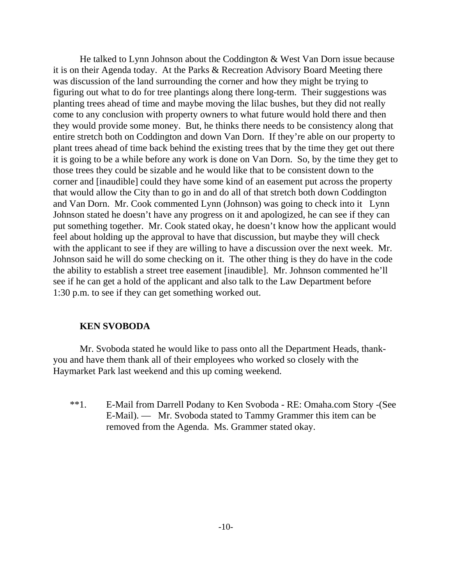He talked to Lynn Johnson about the Coddington & West Van Dorn issue because it is on their Agenda today. At the Parks & Recreation Advisory Board Meeting there was discussion of the land surrounding the corner and how they might be trying to figuring out what to do for tree plantings along there long-term. Their suggestions was planting trees ahead of time and maybe moving the lilac bushes, but they did not really come to any conclusion with property owners to what future would hold there and then they would provide some money. But, he thinks there needs to be consistency along that entire stretch both on Coddington and down Van Dorn. If they're able on our property to plant trees ahead of time back behind the existing trees that by the time they get out there it is going to be a while before any work is done on Van Dorn. So, by the time they get to those trees they could be sizable and he would like that to be consistent down to the corner and [inaudible] could they have some kind of an easement put across the property that would allow the City than to go in and do all of that stretch both down Coddington and Van Dorn. Mr. Cook commented Lynn (Johnson) was going to check into it Lynn Johnson stated he doesn't have any progress on it and apologized, he can see if they can put something together. Mr. Cook stated okay, he doesn't know how the applicant would feel about holding up the approval to have that discussion, but maybe they will check with the applicant to see if they are willing to have a discussion over the next week. Mr. Johnson said he will do some checking on it. The other thing is they do have in the code the ability to establish a street tree easement [inaudible]. Mr. Johnson commented he'll see if he can get a hold of the applicant and also talk to the Law Department before 1:30 p.m. to see if they can get something worked out.

#### **KEN SVOBODA**

Mr. Svoboda stated he would like to pass onto all the Department Heads, thankyou and have them thank all of their employees who worked so closely with the Haymarket Park last weekend and this up coming weekend.

\*\*1. E-Mail from Darrell Podany to Ken Svoboda - RE: Omaha.com Story -(See E-Mail). — Mr. Svoboda stated to Tammy Grammer this item can be removed from the Agenda. Ms. Grammer stated okay.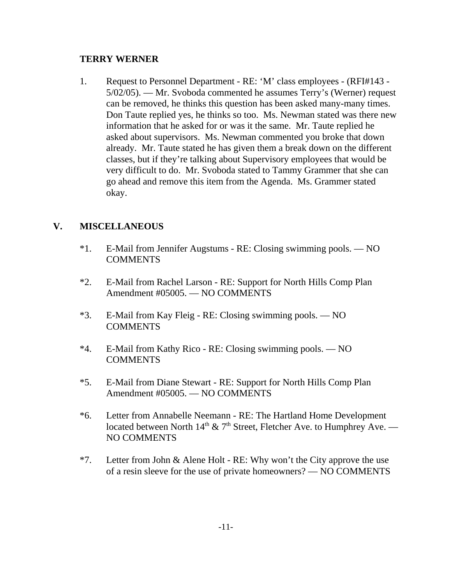### **TERRY WERNER**

1. Request to Personnel Department - RE: 'M' class employees - (RFI#143 - 5/02/05). — Mr. Svoboda commented he assumes Terry's (Werner) request can be removed, he thinks this question has been asked many-many times. Don Taute replied yes, he thinks so too. Ms. Newman stated was there new information that he asked for or was it the same. Mr. Taute replied he asked about supervisors. Ms. Newman commented you broke that down already. Mr. Taute stated he has given them a break down on the different classes, but if they're talking about Supervisory employees that would be very difficult to do. Mr. Svoboda stated to Tammy Grammer that she can go ahead and remove this item from the Agenda. Ms. Grammer stated okay.

## **V. MISCELLANEOUS**

- \*1. E-Mail from Jennifer Augstums RE: Closing swimming pools. NO COMMENTS
- \*2. E-Mail from Rachel Larson RE: Support for North Hills Comp Plan Amendment #05005. — NO COMMENTS
- \*3. E-Mail from Kay Fleig RE: Closing swimming pools. NO **COMMENTS**
- \*4. E-Mail from Kathy Rico RE: Closing swimming pools. NO **COMMENTS**
- \*5. E-Mail from Diane Stewart RE: Support for North Hills Comp Plan Amendment #05005. — NO COMMENTS
- \*6. Letter from Annabelle Neemann RE: The Hartland Home Development located between North  $14<sup>th</sup>$  & 7<sup>th</sup> Street, Fletcher Ave. to Humphrey Ave. — NO COMMENTS
- \*7. Letter from John & Alene Holt RE: Why won't the City approve the use of a resin sleeve for the use of private homeowners? — NO COMMENTS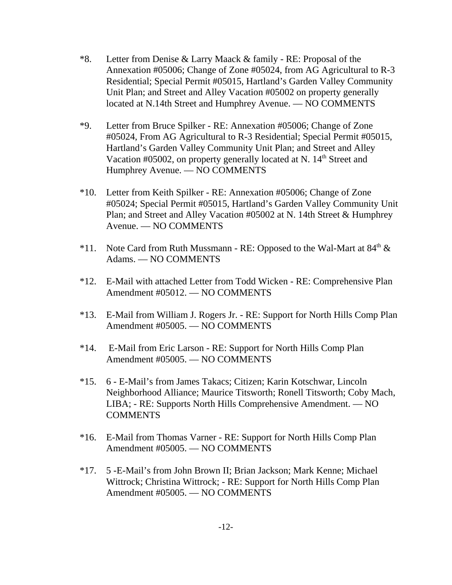- \*8. Letter from Denise & Larry Maack & family RE: Proposal of the Annexation #05006; Change of Zone #05024, from AG Agricultural to R-3 Residential; Special Permit #05015, Hartland's Garden Valley Community Unit Plan; and Street and Alley Vacation #05002 on property generally located at N.14th Street and Humphrey Avenue. — NO COMMENTS
- \*9. Letter from Bruce Spilker RE: Annexation #05006; Change of Zone #05024, From AG Agricultural to R-3 Residential; Special Permit #05015, Hartland's Garden Valley Community Unit Plan; and Street and Alley Vacation #05002, on property generally located at N.  $14<sup>th</sup>$  Street and Humphrey Avenue. — NO COMMENTS
- \*10. Letter from Keith Spilker RE: Annexation #05006; Change of Zone #05024; Special Permit #05015, Hartland's Garden Valley Community Unit Plan; and Street and Alley Vacation #05002 at N. 14th Street & Humphrey Avenue. — NO COMMENTS
- \*11. Note Card from Ruth Mussmann RE: Opposed to the Wal-Mart at  $84<sup>th</sup> \&$ Adams. — NO COMMENTS
- \*12. E-Mail with attached Letter from Todd Wicken RE: Comprehensive Plan Amendment #05012. — NO COMMENTS
- \*13. E-Mail from William J. Rogers Jr. RE: Support for North Hills Comp Plan Amendment #05005. — NO COMMENTS
- \*14. E-Mail from Eric Larson RE: Support for North Hills Comp Plan Amendment #05005. — NO COMMENTS
- \*15. 6 E-Mail's from James Takacs; Citizen; Karin Kotschwar, Lincoln Neighborhood Alliance; Maurice Titsworth; Ronell Titsworth; Coby Mach, LIBA; - RE: Supports North Hills Comprehensive Amendment. — NO COMMENTS
- \*16. E-Mail from Thomas Varner RE: Support for North Hills Comp Plan Amendment #05005. — NO COMMENTS
- \*17. 5 -E-Mail's from John Brown II; Brian Jackson; Mark Kenne; Michael Wittrock; Christina Wittrock; - RE: Support for North Hills Comp Plan Amendment #05005. — NO COMMENTS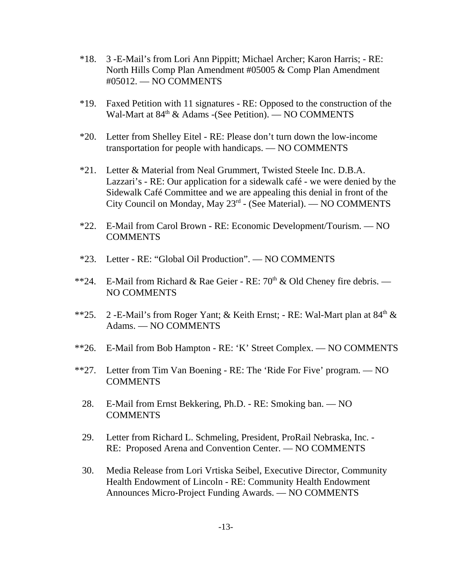- \*18. 3 -E-Mail's from Lori Ann Pippitt; Michael Archer; Karon Harris; RE: North Hills Comp Plan Amendment #05005 & Comp Plan Amendment #05012. — NO COMMENTS
- \*19. Faxed Petition with 11 signatures RE: Opposed to the construction of the Wal-Mart at 84<sup>th</sup> & Adams -(See Petition). — NO COMMENTS
- \*20. Letter from Shelley Eitel RE: Please don't turn down the low-income transportation for people with handicaps. — NO COMMENTS
- \*21. Letter & Material from Neal Grummert, Twisted Steele Inc. D.B.A. Lazzari's - RE: Our application for a sidewalk café - we were denied by the Sidewalk Café Committee and we are appealing this denial in front of the City Council on Monday, May 23rd - (See Material). — NO COMMENTS
- \*22. E-Mail from Carol Brown RE: Economic Development/Tourism. NO COMMENTS
- \*23. Letter RE: "Global Oil Production". NO COMMENTS
- \*\*24. E-Mail from Richard & Rae Geier RE:  $70<sup>th</sup>$  & Old Cheney fire debris. NO COMMENTS
- \*\*25. 2 -E-Mail's from Roger Yant; & Keith Ernst; RE: Wal-Mart plan at  $84<sup>th</sup>$  & Adams. — NO COMMENTS
- \*\*26. E-Mail from Bob Hampton RE: 'K' Street Complex. NO COMMENTS
- \*\*27. Letter from Tim Van Boening RE: The 'Ride For Five' program. NO COMMENTS
	- 28. E-Mail from Ernst Bekkering, Ph.D. RE: Smoking ban. NO **COMMENTS**
	- 29. Letter from Richard L. Schmeling, President, ProRail Nebraska, Inc. RE: Proposed Arena and Convention Center. — NO COMMENTS
	- 30. Media Release from Lori Vrtiska Seibel, Executive Director, Community Health Endowment of Lincoln - RE: Community Health Endowment Announces Micro-Project Funding Awards. — NO COMMENTS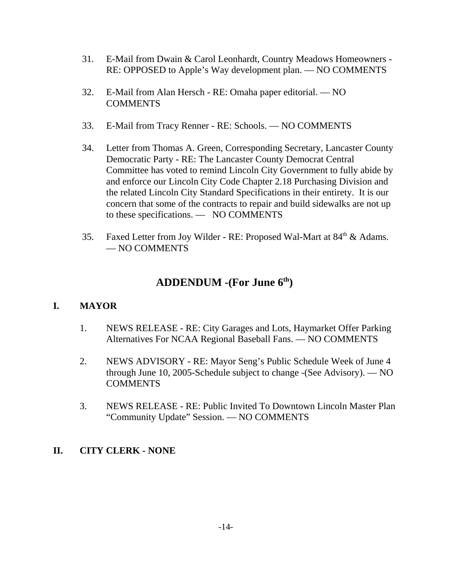- 31. E-Mail from Dwain & Carol Leonhardt, Country Meadows Homeowners RE: OPPOSED to Apple's Way development plan. — NO COMMENTS
- 32. E-Mail from Alan Hersch RE: Omaha paper editorial. NO COMMENTS
- 33. E-Mail from Tracy Renner RE: Schools. NO COMMENTS
- 34. Letter from Thomas A. Green, Corresponding Secretary, Lancaster County Democratic Party - RE: The Lancaster County Democrat Central Committee has voted to remind Lincoln City Government to fully abide by and enforce our Lincoln City Code Chapter 2.18 Purchasing Division and the related Lincoln City Standard Specifications in their entirety. It is our concern that some of the contracts to repair and build sidewalks are not up to these specifications. — NO COMMENTS
- 35. Faxed Letter from Joy Wilder RE: Proposed Wal-Mart at 84<sup>th</sup> & Adams. — NO COMMENTS

# **ADDENDUM -(For June 6th)**

## **I. MAYOR**

- 1. NEWS RELEASE RE: City Garages and Lots, Haymarket Offer Parking Alternatives For NCAA Regional Baseball Fans. — NO COMMENTS
- 2. NEWS ADVISORY RE: Mayor Seng's Public Schedule Week of June 4 through June 10, 2005-Schedule subject to change -(See Advisory). — NO COMMENTS
- 3. NEWS RELEASE RE: Public Invited To Downtown Lincoln Master Plan "Community Update" Session. — NO COMMENTS

## **II. CITY CLERK - NONE**